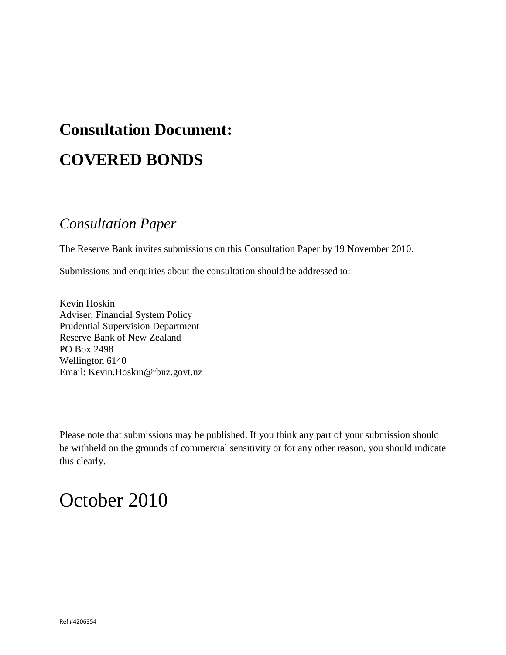# **Consultation Document: COVERED BONDS**

# *Consultation Paper*

The Reserve Bank invites submissions on this Consultation Paper by 19 November 2010.

Submissions and enquiries about the consultation should be addressed to:

Kevin Hoskin Adviser, Financial System Policy Prudential Supervision Department Reserve Bank of New Zealand PO Box 2498 Wellington 6140 Email: Kevin.Hoskin@rbnz.govt.nz

Please note that submissions may be published. If you think any part of your submission should be withheld on the grounds of commercial sensitivity or for any other reason, you should indicate this clearly.

# October 2010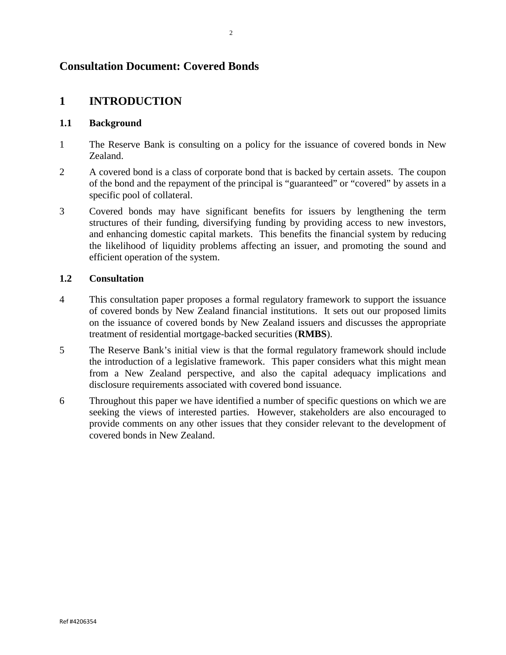# **Consultation Document: Covered Bonds**

# **1 INTRODUCTION**

## **1.1 Background**

- 1 The Reserve Bank is consulting on a policy for the issuance of covered bonds in New Zealand.
- 2 A covered bond is a class of corporate bond that is backed by certain assets. The coupon of the bond and the repayment of the principal is "guaranteed" or "covered" by assets in a specific pool of collateral.
- 3 Covered bonds may have significant benefits for issuers by lengthening the term structures of their funding, diversifying funding by providing access to new investors, and enhancing domestic capital markets. This benefits the financial system by reducing the likelihood of liquidity problems affecting an issuer, and promoting the sound and efficient operation of the system.

# **1.2 Consultation**

- 4 This consultation paper proposes a formal regulatory framework to support the issuance of covered bonds by New Zealand financial institutions. It sets out our proposed limits on the issuance of covered bonds by New Zealand issuers and discusses the appropriate treatment of residential mortgage-backed securities (**RMBS**).
- 5 The Reserve Bank's initial view is that the formal regulatory framework should include the introduction of a legislative framework. This paper considers what this might mean from a New Zealand perspective, and also the capital adequacy implications and disclosure requirements associated with covered bond issuance.
- 6 Throughout this paper we have identified a number of specific questions on which we are seeking the views of interested parties. However, stakeholders are also encouraged to provide comments on any other issues that they consider relevant to the development of covered bonds in New Zealand.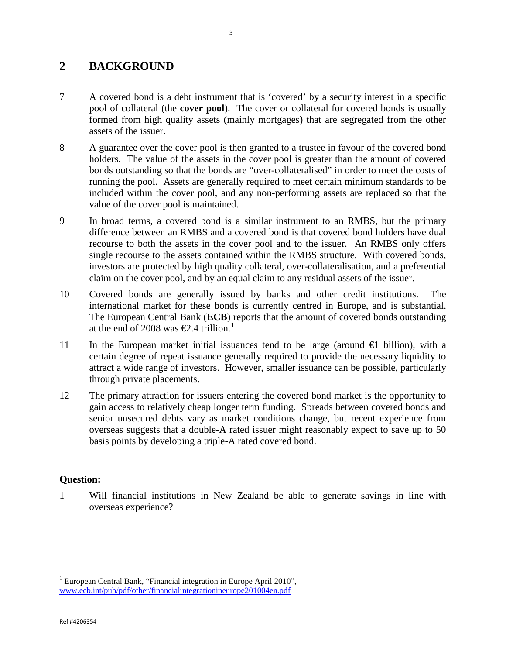# **2 BACKGROUND**

- 7 A covered bond is a debt instrument that is 'covered' by a security interest in a specific pool of collateral (the **cover pool**). The cover or collateral for covered bonds is usually formed from high quality assets (mainly mortgages) that are segregated from the other assets of the issuer.
- 8 A guarantee over the cover pool is then granted to a trustee in favour of the covered bond holders. The value of the assets in the cover pool is greater than the amount of covered bonds outstanding so that the bonds are "over-collateralised" in order to meet the costs of running the pool. Assets are generally required to meet certain minimum standards to be included within the cover pool, and any non-performing assets are replaced so that the value of the cover pool is maintained.
- 9 In broad terms, a covered bond is a similar instrument to an RMBS, but the primary difference between an RMBS and a covered bond is that covered bond holders have dual recourse to both the assets in the cover pool and to the issuer. An RMBS only offers single recourse to the assets contained within the RMBS structure. With covered bonds, investors are protected by high quality collateral, over-collateralisation, and a preferential claim on the cover pool, and by an equal claim to any residual assets of the issuer.
- 10 Covered bonds are generally issued by banks and other credit institutions. The international market for these bonds is currently centred in Europe, and is substantial. The European Central Bank (**ECB**) reports that the amount of covered bonds outstanding at the end of 2008 was  $\epsilon$ 2.4 trillion.<sup>[1](#page-2-0)</sup>
- 11 In the European market initial issuances tend to be large (around €1 billion), with a certain degree of repeat issuance generally required to provide the necessary liquidity to attract a wide range of investors. However, smaller issuance can be possible, particularly through private placements.
- 12 The primary attraction for issuers entering the covered bond market is the opportunity to gain access to relatively cheap longer term funding. Spreads between covered bonds and senior unsecured debts vary as market conditions change, but recent experience from overseas suggests that a double-A rated issuer might reasonably expect to save up to 50 basis points by developing a triple-A rated covered bond.

# **Question:**

1 Will financial institutions in New Zealand be able to generate savings in line with overseas experience?

ı

<span id="page-2-0"></span> $1$  European Central Bank, "Financial integration in Europe April 2010", [www.ecb.int/pub/pdf/other/financialintegrationineurope201004en.pdf](http://www.ecb.int/pub/pdf/other/financialintegrationineurope201004en.pdf)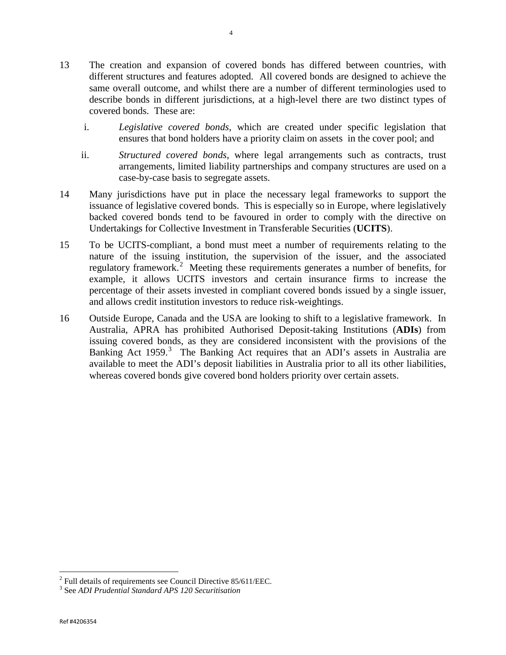- 13 The creation and expansion of covered bonds has differed between countries, with different structures and features adopted. All covered bonds are designed to achieve the same overall outcome, and whilst there are a number of different terminologies used to describe bonds in different jurisdictions, at a high-level there are two distinct types of covered bonds. These are:
	- i. *Legislative covered bonds*, which are created under specific legislation that ensures that bond holders have a priority claim on assets in the cover pool; and
	- ii. *Structured covered bonds*, where legal arrangements such as contracts, trust arrangements, limited liability partnerships and company structures are used on a case-by-case basis to segregate assets.
- 14 Many jurisdictions have put in place the necessary legal frameworks to support the issuance of legislative covered bonds. This is especially so in Europe, where legislatively backed covered bonds tend to be favoured in order to comply with the directive on Undertakings for Collective Investment in Transferable Securities (**UCITS**).
- 15 To be UCITS-compliant, a bond must meet a number of requirements relating to the nature of the issuing institution, the supervision of the issuer, and the associated regulatory framework.<sup>[2](#page-3-0)</sup> Meeting these requirements generates a number of benefits, for example, it allows UCITS investors and certain insurance firms to increase the percentage of their assets invested in compliant covered bonds issued by a single issuer, and allows credit institution investors to reduce risk-weightings.
- 16 Outside Europe, Canada and the USA are looking to shift to a legislative framework. In Australia, APRA has prohibited Authorised Deposit-taking Institutions (**ADIs**) from issuing covered bonds, as they are considered inconsistent with the provisions of the Banking Act 1959.<sup>[3](#page-3-1)</sup> The Banking Act requires that an ADI's assets in Australia are available to meet the ADI's deposit liabilities in Australia prior to all its other liabilities, whereas covered bonds give covered bond holders priority over certain assets.

4

<span id="page-3-0"></span>ı  $2$  Full details of requirements see Council Directive 85/611/EEC.

<span id="page-3-1"></span><sup>3</sup> See *ADI Prudential Standard APS 120 Securitisation*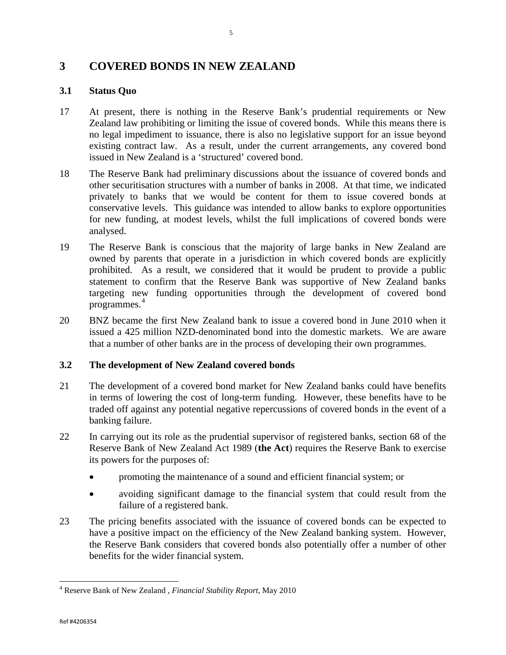# **3 COVERED BONDS IN NEW ZEALAND**

# **3.1 Status Quo**

- 17 At present, there is nothing in the Reserve Bank's prudential requirements or New Zealand law prohibiting or limiting the issue of covered bonds. While this means there is no legal impediment to issuance, there is also no legislative support for an issue beyond existing contract law. As a result, under the current arrangements, any covered bond issued in New Zealand is a 'structured' covered bond.
- 18 The Reserve Bank had preliminary discussions about the issuance of covered bonds and other securitisation structures with a number of banks in 2008. At that time, we indicated privately to banks that we would be content for them to issue covered bonds at conservative levels. This guidance was intended to allow banks to explore opportunities for new funding, at modest levels, whilst the full implications of covered bonds were analysed.
- 19 The Reserve Bank is conscious that the majority of large banks in New Zealand are owned by parents that operate in a jurisdiction in which covered bonds are explicitly prohibited. As a result, we considered that it would be prudent to provide a public statement to confirm that the Reserve Bank was supportive of New Zealand banks targeting new funding opportunities through the development of covered bond programmes. [4](#page-4-0)
- 20 BNZ became the first New Zealand bank to issue a covered bond in June 2010 when it issued a 425 million NZD-denominated bond into the domestic markets. We are aware that a number of other banks are in the process of developing their own programmes.

# **3.2 The development of New Zealand covered bonds**

- 21 The development of a covered bond market for New Zealand banks could have benefits in terms of lowering the cost of long-term funding. However, these benefits have to be traded off against any potential negative repercussions of covered bonds in the event of a banking failure.
- 22 In carrying out its role as the prudential supervisor of registered banks, section 68 of the Reserve Bank of New Zealand Act 1989 (**the Act**) requires the Reserve Bank to exercise its powers for the purposes of:
	- promoting the maintenance of a sound and efficient financial system; or
	- avoiding significant damage to the financial system that could result from the failure of a registered bank.
- 23 The pricing benefits associated with the issuance of covered bonds can be expected to have a positive impact on the efficiency of the New Zealand banking system. However, the Reserve Bank considers that covered bonds also potentially offer a number of other benefits for the wider financial system.

<span id="page-4-0"></span><sup>4</sup> Reserve Bank of New Zealand , *Financial Stability Report*, May 2010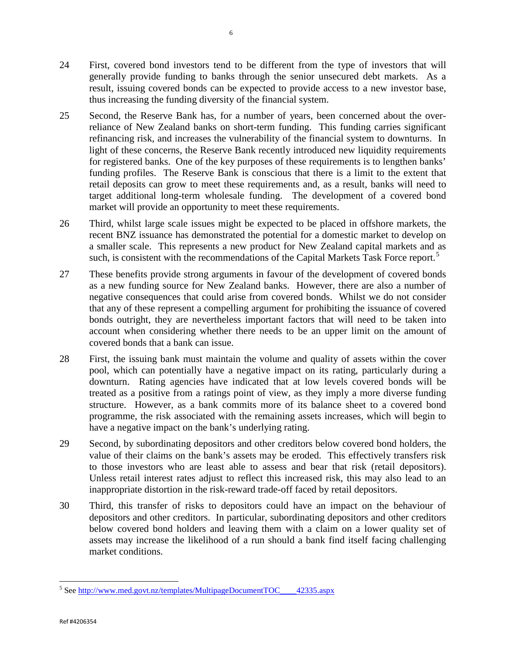- 24 First, covered bond investors tend to be different from the type of investors that will generally provide funding to banks through the senior unsecured debt markets. As a result, issuing covered bonds can be expected to provide access to a new investor base, thus increasing the funding diversity of the financial system.
- 25 Second, the Reserve Bank has, for a number of years, been concerned about the overreliance of New Zealand banks on short-term funding. This funding carries significant refinancing risk, and increases the vulnerability of the financial system to downturns. In light of these concerns, the Reserve Bank recently introduced new liquidity requirements for registered banks. One of the key purposes of these requirements is to lengthen banks' funding profiles. The Reserve Bank is conscious that there is a limit to the extent that retail deposits can grow to meet these requirements and, as a result, banks will need to target additional long-term wholesale funding. The development of a covered bond market will provide an opportunity to meet these requirements.
- 26 Third, whilst large scale issues might be expected to be placed in offshore markets, the recent BNZ issuance has demonstrated the potential for a domestic market to develop on a smaller scale. This represents a new product for New Zealand capital markets and as such, is consistent with the recommendations of the Capital Markets Task Force report.<sup>[5](#page-5-0)</sup>
- 27 These benefits provide strong arguments in favour of the development of covered bonds as a new funding source for New Zealand banks. However, there are also a number of negative consequences that could arise from covered bonds. Whilst we do not consider that any of these represent a compelling argument for prohibiting the issuance of covered bonds outright, they are nevertheless important factors that will need to be taken into account when considering whether there needs to be an upper limit on the amount of covered bonds that a bank can issue.
- 28 First, the issuing bank must maintain the volume and quality of assets within the cover pool, which can potentially have a negative impact on its rating, particularly during a downturn. Rating agencies have indicated that at low levels covered bonds will be treated as a positive from a ratings point of view, as they imply a more diverse funding structure. However, as a bank commits more of its balance sheet to a covered bond programme, the risk associated with the remaining assets increases, which will begin to have a negative impact on the bank's underlying rating.
- 29 Second, by subordinating depositors and other creditors below covered bond holders, the value of their claims on the bank's assets may be eroded. This effectively transfers risk to those investors who are least able to assess and bear that risk (retail depositors). Unless retail interest rates adjust to reflect this increased risk, this may also lead to an inappropriate distortion in the risk-reward trade-off faced by retail depositors.
- 30 Third, this transfer of risks to depositors could have an impact on the behaviour of depositors and other creditors. In particular, subordinating depositors and other creditors below covered bond holders and leaving them with a claim on a lower quality set of assets may increase the likelihood of a run should a bank find itself facing challenging market conditions.

<span id="page-5-0"></span><sup>5</sup> Se[e http://www.med.govt.nz/templates/MultipageDocumentTOC\\_\\_\\_\\_42335.aspx](http://www.med.govt.nz/templates/MultipageDocumentTOC____42335.aspx)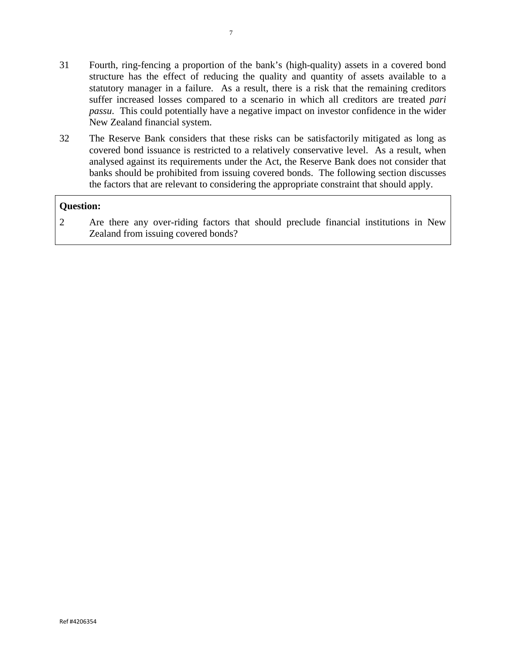- 31 Fourth, ring-fencing a proportion of the bank's (high-quality) assets in a covered bond structure has the effect of reducing the quality and quantity of assets available to a statutory manager in a failure. As a result, there is a risk that the remaining creditors suffer increased losses compared to a scenario in which all creditors are treated *pari passu*. This could potentially have a negative impact on investor confidence in the wider New Zealand financial system.
- 32 The Reserve Bank considers that these risks can be satisfactorily mitigated as long as covered bond issuance is restricted to a relatively conservative level. As a result, when analysed against its requirements under the Act, the Reserve Bank does not consider that banks should be prohibited from issuing covered bonds. The following section discusses the factors that are relevant to considering the appropriate constraint that should apply.

2 Are there any over-riding factors that should preclude financial institutions in New Zealand from issuing covered bonds?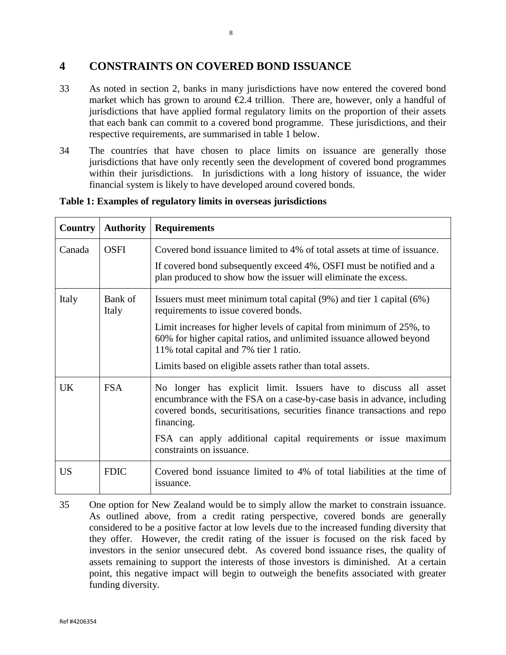# **4 CONSTRAINTS ON COVERED BOND ISSUANCE**

- 33 As noted in section 2, banks in many jurisdictions have now entered the covered bond market which has grown to around  $E.4$  trillion. There are, however, only a handful of jurisdictions that have applied formal regulatory limits on the proportion of their assets that each bank can commit to a covered bond programme. These jurisdictions, and their respective requirements, are summarised in table 1 below.
- 34 The countries that have chosen to place limits on issuance are generally those jurisdictions that have only recently seen the development of covered bond programmes within their jurisdictions. In jurisdictions with a long history of issuance, the wider financial system is likely to have developed around covered bonds.

| <b>Country</b> | <b>Authority</b> | <b>Requirements</b>                                                                                                                                                                                                                 |
|----------------|------------------|-------------------------------------------------------------------------------------------------------------------------------------------------------------------------------------------------------------------------------------|
| Canada         | <b>OSFI</b>      | Covered bond issuance limited to 4% of total assets at time of issuance.                                                                                                                                                            |
|                |                  | If covered bond subsequently exceed 4%, OSFI must be notified and a<br>plan produced to show how the issuer will eliminate the excess.                                                                                              |
| Italy          | Bank of<br>Italy | Issuers must meet minimum total capital $(9%)$ and tier 1 capital $(6%)$<br>requirements to issue covered bonds.                                                                                                                    |
|                |                  | Limit increases for higher levels of capital from minimum of 25%, to<br>60% for higher capital ratios, and unlimited issuance allowed beyond<br>11% total capital and 7% tier 1 ratio.                                              |
|                |                  | Limits based on eligible assets rather than total assets.                                                                                                                                                                           |
| UK             | <b>FSA</b>       | No longer has explicit limit. Issuers have to discuss all asset<br>encumbrance with the FSA on a case-by-case basis in advance, including<br>covered bonds, securitisations, securities finance transactions and repo<br>financing. |
|                |                  | FSA can apply additional capital requirements or issue maximum<br>constraints on issuance.                                                                                                                                          |
| <b>US</b>      | <b>FDIC</b>      | Covered bond issuance limited to 4% of total liabilities at the time of<br>issuance.                                                                                                                                                |

# **Table 1: Examples of regulatory limits in overseas jurisdictions**

35 One option for New Zealand would be to simply allow the market to constrain issuance. As outlined above, from a credit rating perspective, covered bonds are generally considered to be a positive factor at low levels due to the increased funding diversity that they offer. However, the credit rating of the issuer is focused on the risk faced by investors in the senior unsecured debt. As covered bond issuance rises, the quality of assets remaining to support the interests of those investors is diminished. At a certain point, this negative impact will begin to outweigh the benefits associated with greater funding diversity.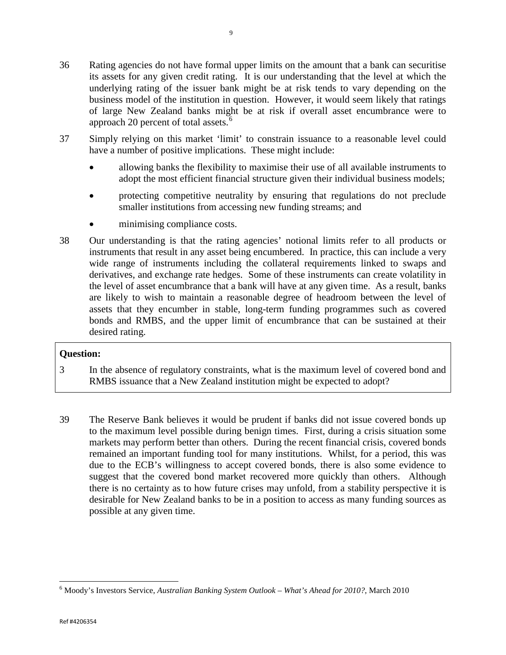- 37 Simply relying on this market 'limit' to constrain issuance to a reasonable level could have a number of positive implications. These might include:
	- allowing banks the flexibility to maximise their use of all available instruments to adopt the most efficient financial structure given their individual business models;
	- protecting competitive neutrality by ensuring that regulations do not preclude smaller institutions from accessing new funding streams; and
	- minimising compliance costs.
- 38 Our understanding is that the rating agencies' notional limits refer to all products or instruments that result in any asset being encumbered. In practice, this can include a very wide range of instruments including the collateral requirements linked to swaps and derivatives, and exchange rate hedges. Some of these instruments can create volatility in the level of asset encumbrance that a bank will have at any given time. As a result, banks are likely to wish to maintain a reasonable degree of headroom between the level of assets that they encumber in stable, long-term funding programmes such as covered bonds and RMBS, and the upper limit of encumbrance that can be sustained at their desired rating.

- 3 In the absence of regulatory constraints, what is the maximum level of covered bond and RMBS issuance that a New Zealand institution might be expected to adopt?
- 39 The Reserve Bank believes it would be prudent if banks did not issue covered bonds up to the maximum level possible during benign times. First, during a crisis situation some markets may perform better than others. During the recent financial crisis, covered bonds remained an important funding tool for many institutions. Whilst, for a period, this was due to the ECB's willingness to accept covered bonds, there is also some evidence to suggest that the covered bond market recovered more quickly than others. Although there is no certainty as to how future crises may unfold, from a stability perspective it is desirable for New Zealand banks to be in a position to access as many funding sources as possible at any given time.

<span id="page-8-0"></span><sup>6</sup> Moody's Investors Service, *Australian Banking System Outlook – What's Ahead for 2010?*, March 2010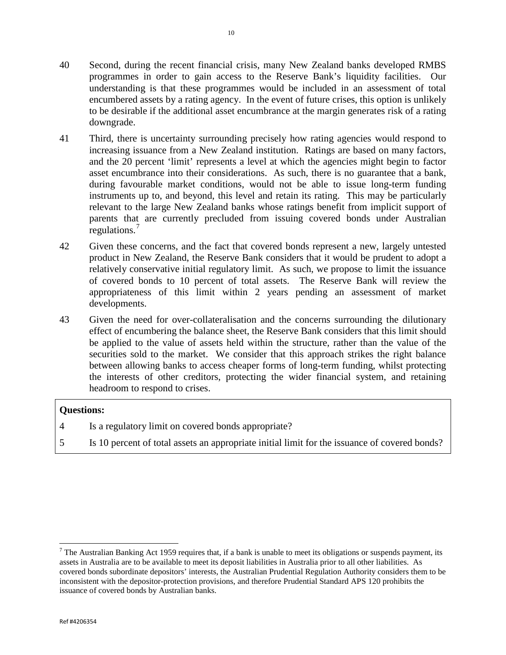- 40 Second, during the recent financial crisis, many New Zealand banks developed RMBS programmes in order to gain access to the Reserve Bank's liquidity facilities. Our understanding is that these programmes would be included in an assessment of total encumbered assets by a rating agency. In the event of future crises, this option is unlikely to be desirable if the additional asset encumbrance at the margin generates risk of a rating downgrade.
- 41 Third, there is uncertainty surrounding precisely how rating agencies would respond to increasing issuance from a New Zealand institution. Ratings are based on many factors, and the 20 percent 'limit' represents a level at which the agencies might begin to factor asset encumbrance into their considerations. As such, there is no guarantee that a bank, during favourable market conditions, would not be able to issue long-term funding instruments up to, and beyond, this level and retain its rating. This may be particularly relevant to the large New Zealand banks whose ratings benefit from implicit support of parents that are currently precluded from issuing covered bonds under Australian regulations.<sup>[7](#page-9-0)</sup>
- 42 Given these concerns, and the fact that covered bonds represent a new, largely untested product in New Zealand, the Reserve Bank considers that it would be prudent to adopt a relatively conservative initial regulatory limit. As such, we propose to limit the issuance of covered bonds to 10 percent of total assets. The Reserve Bank will review the appropriateness of this limit within 2 years pending an assessment of market developments.
- 43 Given the need for over-collateralisation and the concerns surrounding the dilutionary effect of encumbering the balance sheet, the Reserve Bank considers that this limit should be applied to the value of assets held within the structure, rather than the value of the securities sold to the market. We consider that this approach strikes the right balance between allowing banks to access cheaper forms of long-term funding, whilst protecting the interests of other creditors, protecting the wider financial system, and retaining headroom to respond to crises.

- 4 Is a regulatory limit on covered bonds appropriate?
- 5 Is 10 percent of total assets an appropriate initial limit for the issuance of covered bonds?

ı

<span id="page-9-0"></span> $<sup>7</sup>$  The Australian Banking Act 1959 requires that, if a bank is unable to meet its obligations or suspends payment, its</sup> assets in Australia are to be available to meet its deposit liabilities in Australia prior to all other liabilities. As covered bonds subordinate depositors' interests, the Australian Prudential Regulation Authority considers them to be inconsistent with the depositor-protection provisions, and therefore Prudential Standard APS 120 prohibits the issuance of covered bonds by Australian banks.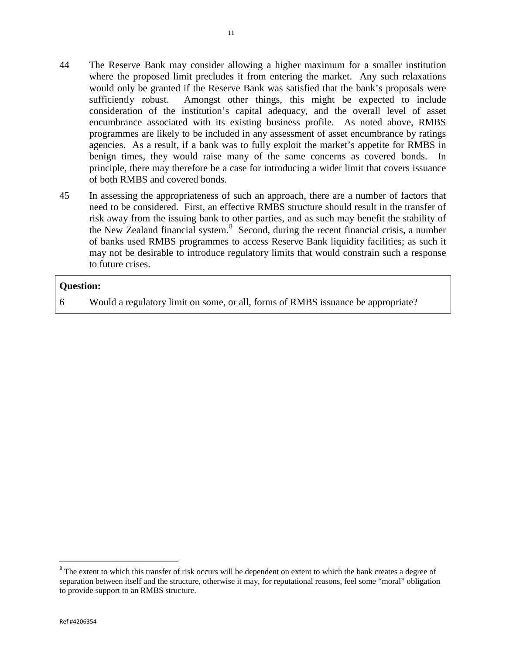- 44 The Reserve Bank may consider allowing a higher maximum for a smaller institution where the proposed limit precludes it from entering the market. Any such relaxations would only be granted if the Reserve Bank was satisfied that the bank's proposals were sufficiently robust. Amongst other things, this might be expected to include consideration of the institution's capital adequacy, and the overall level of asset encumbrance associated with its existing business profile. As noted above, RMBS programmes are likely to be included in any assessment of asset encumbrance by ratings agencies. As a result, if a bank was to fully exploit the market's appetite for RMBS in benign times, they would raise many of the same concerns as covered bonds. In principle, there may therefore be a case for introducing a wider limit that covers issuance
- 45 In assessing the appropriateness of such an approach, there are a number of factors that need to be considered. First, an effective RMBS structure should result in the transfer of risk away from the issuing bank to other parties, and as such may benefit the stability of the New Zealand financial system.<sup>[8](#page-10-0)</sup> Second, during the recent financial crisis, a number of banks used RMBS programmes to access Reserve Bank liquidity facilities; as such it may not be desirable to introduce regulatory limits that would constrain such a response to future crises.

of both RMBS and covered bonds.

6 Would a regulatory limit on some, or all, forms of RMBS issuance be appropriate?

<span id="page-10-0"></span><sup>&</sup>lt;sup>8</sup> The extent to which this transfer of risk occurs will be dependent on extent to which the bank creates a degree of separation between itself and the structure, otherwise it may, for reputational reasons, feel some "moral" obligation to provide support to an RMBS structure.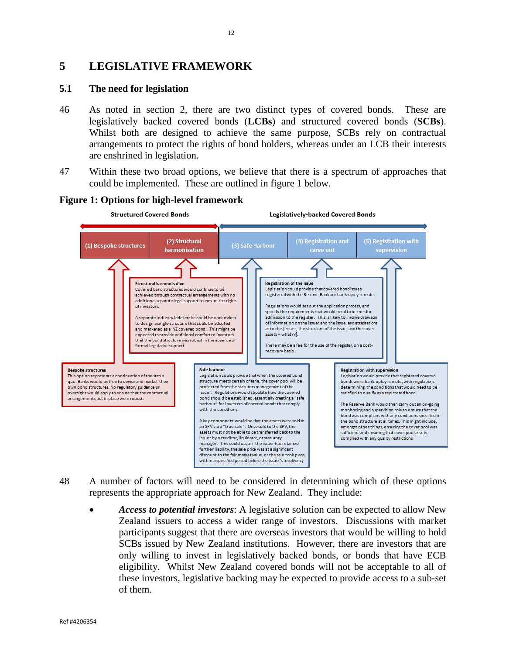# **5 LEGISLATIVE FRAMEWORK**

# **5.1 The need for legislation**

- 46 As noted in section 2, there are two distinct types of covered bonds. These are legislatively backed covered bonds (**LCBs**) and structured covered bonds (**SCBs**). Whilst both are designed to achieve the same purpose, SCBs rely on contractual arrangements to protect the rights of bond holders, whereas under an LCB their interests are enshrined in legislation.
- 47 Within these two broad options, we believe that there is a spectrum of approaches that could be implemented. These are outlined in figure 1 below.



#### **Figure 1: Options for high-level framework**

- 48 A number of factors will need to be considered in determining which of these options represents the appropriate approach for New Zealand. They include:
	- *Access to potential investors*: A legislative solution can be expected to allow New Zealand issuers to access a wider range of investors. Discussions with market participants suggest that there are overseas investors that would be willing to hold SCBs issued by New Zealand institutions. However, there are investors that are only willing to invest in legislatively backed bonds, or bonds that have ECB eligibility. Whilst New Zealand covered bonds will not be acceptable to all of these investors, legislative backing may be expected to provide access to a sub-set of them.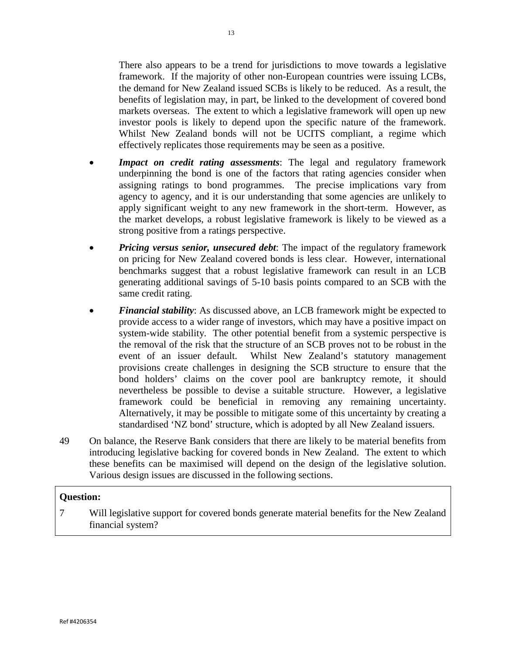There also appears to be a trend for jurisdictions to move towards a legislative framework. If the majority of other non-European countries were issuing LCBs, the demand for New Zealand issued SCBs is likely to be reduced. As a result, the benefits of legislation may, in part, be linked to the development of covered bond markets overseas. The extent to which a legislative framework will open up new investor pools is likely to depend upon the specific nature of the framework. Whilst New Zealand bonds will not be UCITS compliant, a regime which effectively replicates those requirements may be seen as a positive.

- *Impact on credit rating assessments*: The legal and regulatory framework underpinning the bond is one of the factors that rating agencies consider when assigning ratings to bond programmes. The precise implications vary from agency to agency, and it is our understanding that some agencies are unlikely to apply significant weight to any new framework in the short-term. However, as the market develops, a robust legislative framework is likely to be viewed as a strong positive from a ratings perspective.
- *Pricing versus senior, unsecured debt*: The impact of the regulatory framework on pricing for New Zealand covered bonds is less clear. However, international benchmarks suggest that a robust legislative framework can result in an LCB generating additional savings of 5-10 basis points compared to an SCB with the same credit rating.
- *Financial stability*: As discussed above, an LCB framework might be expected to provide access to a wider range of investors, which may have a positive impact on system-wide stability. The other potential benefit from a systemic perspective is the removal of the risk that the structure of an SCB proves not to be robust in the event of an issuer default. Whilst New Zealand's statutory management provisions create challenges in designing the SCB structure to ensure that the bond holders' claims on the cover pool are bankruptcy remote, it should nevertheless be possible to devise a suitable structure. However, a legislative framework could be beneficial in removing any remaining uncertainty. Alternatively, it may be possible to mitigate some of this uncertainty by creating a standardised 'NZ bond' structure, which is adopted by all New Zealand issuers.
- 49 On balance, the Reserve Bank considers that there are likely to be material benefits from introducing legislative backing for covered bonds in New Zealand. The extent to which these benefits can be maximised will depend on the design of the legislative solution. Various design issues are discussed in the following sections.

# **Question:**

7 Will legislative support for covered bonds generate material benefits for the New Zealand financial system?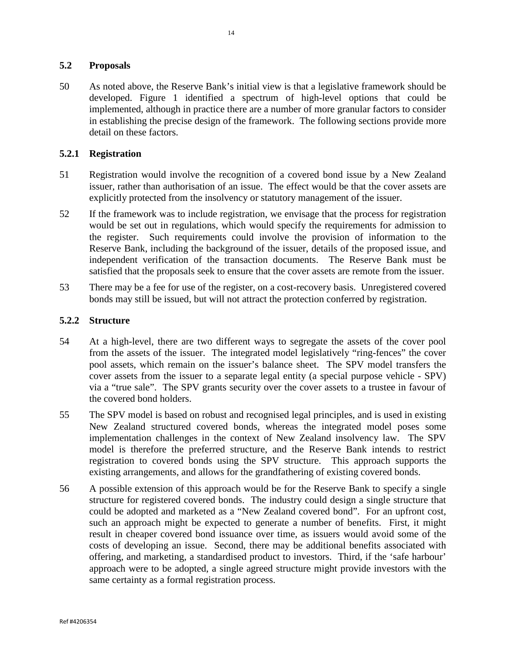# **5.2 Proposals**

50 As noted above, the Reserve Bank's initial view is that a legislative framework should be developed. Figure 1 identified a spectrum of high-level options that could be implemented, although in practice there are a number of more granular factors to consider in establishing the precise design of the framework. The following sections provide more detail on these factors.

# **5.2.1 Registration**

- 51 Registration would involve the recognition of a covered bond issue by a New Zealand issuer, rather than authorisation of an issue. The effect would be that the cover assets are explicitly protected from the insolvency or statutory management of the issuer.
- 52 If the framework was to include registration, we envisage that the process for registration would be set out in regulations, which would specify the requirements for admission to the register. Such requirements could involve the provision of information to the Reserve Bank, including the background of the issuer, details of the proposed issue, and independent verification of the transaction documents. The Reserve Bank must be satisfied that the proposals seek to ensure that the cover assets are remote from the issuer.
- 53 There may be a fee for use of the register, on a cost-recovery basis. Unregistered covered bonds may still be issued, but will not attract the protection conferred by registration.

# **5.2.2 Structure**

- 54 At a high-level, there are two different ways to segregate the assets of the cover pool from the assets of the issuer. The integrated model legislatively "ring-fences" the cover pool assets, which remain on the issuer's balance sheet. The SPV model transfers the cover assets from the issuer to a separate legal entity (a special purpose vehicle - SPV) via a "true sale". The SPV grants security over the cover assets to a trustee in favour of the covered bond holders.
- 55 The SPV model is based on robust and recognised legal principles, and is used in existing New Zealand structured covered bonds, whereas the integrated model poses some implementation challenges in the context of New Zealand insolvency law. The SPV model is therefore the preferred structure, and the Reserve Bank intends to restrict registration to covered bonds using the SPV structure. This approach supports the existing arrangements, and allows for the grandfathering of existing covered bonds.
- 56 A possible extension of this approach would be for the Reserve Bank to specify a single structure for registered covered bonds. The industry could design a single structure that could be adopted and marketed as a "New Zealand covered bond". For an upfront cost, such an approach might be expected to generate a number of benefits. First, it might result in cheaper covered bond issuance over time, as issuers would avoid some of the costs of developing an issue. Second, there may be additional benefits associated with offering, and marketing, a standardised product to investors. Third, if the 'safe harbour' approach were to be adopted, a single agreed structure might provide investors with the same certainty as a formal registration process.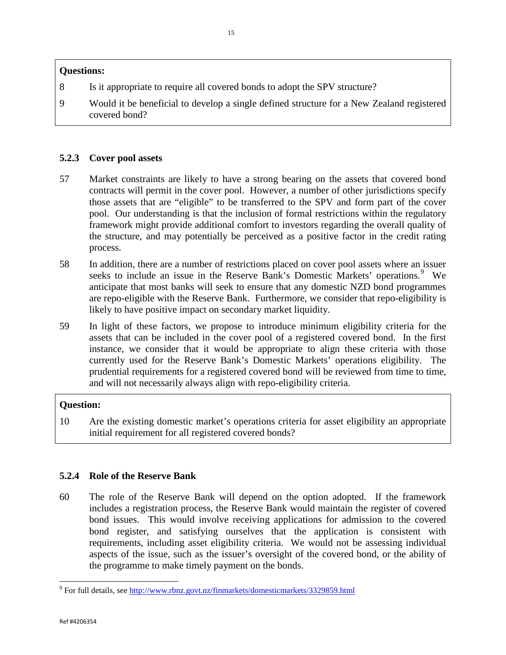- 8 Is it appropriate to require all covered bonds to adopt the SPV structure?
- 9 Would it be beneficial to develop a single defined structure for a New Zealand registered covered bond?

# **5.2.3 Cover pool assets**

- 57 Market constraints are likely to have a strong bearing on the assets that covered bond contracts will permit in the cover pool. However, a number of other jurisdictions specify those assets that are "eligible" to be transferred to the SPV and form part of the cover pool. Our understanding is that the inclusion of formal restrictions within the regulatory framework might provide additional comfort to investors regarding the overall quality of the structure, and may potentially be perceived as a positive factor in the credit rating process.
- 58 In addition, there are a number of restrictions placed on cover pool assets where an issuer seeks to include an issue in the Reserve Bank's Domestic Markets' operations.<sup>[9](#page-14-0)</sup> We anticipate that most banks will seek to ensure that any domestic NZD bond programmes are repo-eligible with the Reserve Bank. Furthermore, we consider that repo-eligibility is likely to have positive impact on secondary market liquidity.
- 59 In light of these factors, we propose to introduce minimum eligibility criteria for the assets that can be included in the cover pool of a registered covered bond. In the first instance, we consider that it would be appropriate to align these criteria with those currently used for the Reserve Bank's Domestic Markets' operations eligibility. The prudential requirements for a registered covered bond will be reviewed from time to time, and will not necessarily always align with repo-eligibility criteria.

# **Question:**

10 Are the existing domestic market's operations criteria for asset eligibility an appropriate initial requirement for all registered covered bonds?

# **5.2.4 Role of the Reserve Bank**

60 The role of the Reserve Bank will depend on the option adopted. If the framework includes a registration process, the Reserve Bank would maintain the register of covered bond issues. This would involve receiving applications for admission to the covered bond register, and satisfying ourselves that the application is consistent with requirements, including asset eligibility criteria. We would not be assessing individual aspects of the issue, such as the issuer's oversight of the covered bond, or the ability of the programme to make timely payment on the bonds.

<span id="page-14-0"></span><sup>9</sup> For full details, see<http://www.rbnz.govt.nz/finmarkets/domesticmarkets/3329859.html>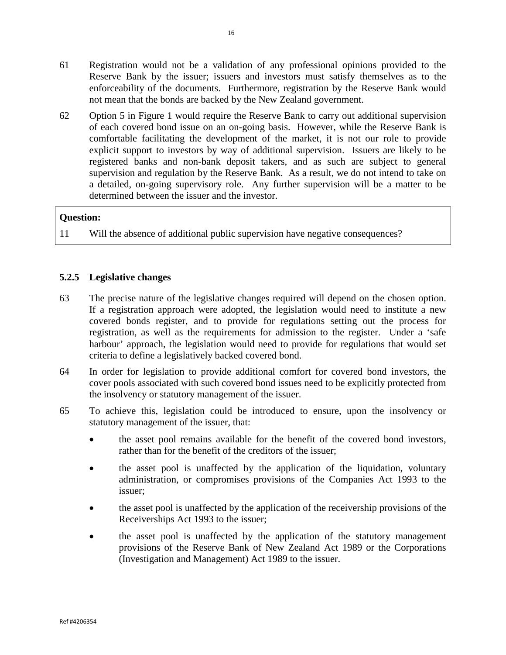- 61 Registration would not be a validation of any professional opinions provided to the Reserve Bank by the issuer; issuers and investors must satisfy themselves as to the enforceability of the documents. Furthermore, registration by the Reserve Bank would not mean that the bonds are backed by the New Zealand government.
- 62 Option 5 in Figure 1 would require the Reserve Bank to carry out additional supervision of each covered bond issue on an on-going basis. However, while the Reserve Bank is comfortable facilitating the development of the market, it is not our role to provide explicit support to investors by way of additional supervision. Issuers are likely to be registered banks and non-bank deposit takers, and as such are subject to general supervision and regulation by the Reserve Bank. As a result, we do not intend to take on a detailed, on-going supervisory role. Any further supervision will be a matter to be determined between the issuer and the investor.

11 Will the absence of additional public supervision have negative consequences?

# **5.2.5 Legislative changes**

- 63 The precise nature of the legislative changes required will depend on the chosen option. If a registration approach were adopted, the legislation would need to institute a new covered bonds register, and to provide for regulations setting out the process for registration, as well as the requirements for admission to the register. Under a 'safe harbour' approach, the legislation would need to provide for regulations that would set criteria to define a legislatively backed covered bond.
- 64 In order for legislation to provide additional comfort for covered bond investors, the cover pools associated with such covered bond issues need to be explicitly protected from the insolvency or statutory management of the issuer.
- 65 To achieve this, legislation could be introduced to ensure, upon the insolvency or statutory management of the issuer, that:
	- the asset pool remains available for the benefit of the covered bond investors, rather than for the benefit of the creditors of the issuer;
	- the asset pool is unaffected by the application of the liquidation, voluntary administration, or compromises provisions of the Companies Act 1993 to the issuer;
	- the asset pool is unaffected by the application of the receivership provisions of the Receiverships Act 1993 to the issuer;
	- the asset pool is unaffected by the application of the statutory management provisions of the Reserve Bank of New Zealand Act 1989 or the Corporations (Investigation and Management) Act 1989 to the issuer.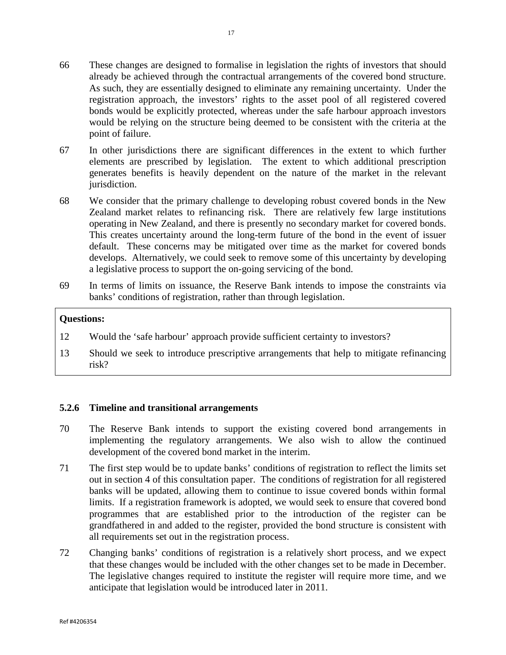- 66 These changes are designed to formalise in legislation the rights of investors that should already be achieved through the contractual arrangements of the covered bond structure. As such, they are essentially designed to eliminate any remaining uncertainty. Under the registration approach, the investors' rights to the asset pool of all registered covered bonds would be explicitly protected, whereas under the safe harbour approach investors would be relying on the structure being deemed to be consistent with the criteria at the point of failure.
- 67 In other jurisdictions there are significant differences in the extent to which further elements are prescribed by legislation. The extent to which additional prescription generates benefits is heavily dependent on the nature of the market in the relevant jurisdiction.
- 68 We consider that the primary challenge to developing robust covered bonds in the New Zealand market relates to refinancing risk. There are relatively few large institutions operating in New Zealand, and there is presently no secondary market for covered bonds. This creates uncertainty around the long-term future of the bond in the event of issuer default. These concerns may be mitigated over time as the market for covered bonds develops. Alternatively, we could seek to remove some of this uncertainty by developing a legislative process to support the on-going servicing of the bond.
- 69 In terms of limits on issuance, the Reserve Bank intends to impose the constraints via banks' conditions of registration, rather than through legislation.

- 12 Would the 'safe harbour' approach provide sufficient certainty to investors?
- 13 Should we seek to introduce prescriptive arrangements that help to mitigate refinancing risk?

#### **5.2.6 Timeline and transitional arrangements**

- 70 The Reserve Bank intends to support the existing covered bond arrangements in implementing the regulatory arrangements. We also wish to allow the continued development of the covered bond market in the interim.
- 71 The first step would be to update banks' conditions of registration to reflect the limits set out in section 4 of this consultation paper. The conditions of registration for all registered banks will be updated, allowing them to continue to issue covered bonds within formal limits. If a registration framework is adopted, we would seek to ensure that covered bond programmes that are established prior to the introduction of the register can be grandfathered in and added to the register, provided the bond structure is consistent with all requirements set out in the registration process.
- 72 Changing banks' conditions of registration is a relatively short process, and we expect that these changes would be included with the other changes set to be made in December. The legislative changes required to institute the register will require more time, and we anticipate that legislation would be introduced later in 2011.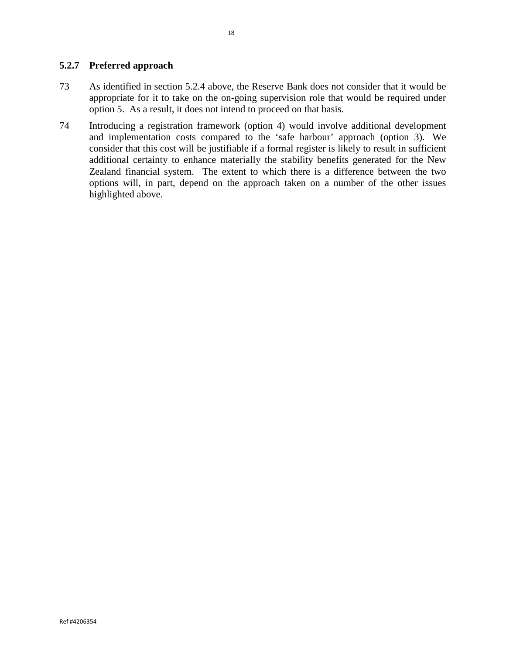# **5.2.7 Preferred approach**

- 73 As identified in section 5.2.4 above, the Reserve Bank does not consider that it would be appropriate for it to take on the on-going supervision role that would be required under option 5. As a result, it does not intend to proceed on that basis.
- 74 Introducing a registration framework (option 4) would involve additional development and implementation costs compared to the 'safe harbour' approach (option 3). We consider that this cost will be justifiable if a formal register is likely to result in sufficient additional certainty to enhance materially the stability benefits generated for the New Zealand financial system. The extent to which there is a difference between the two options will, in part, depend on the approach taken on a number of the other issues highlighted above.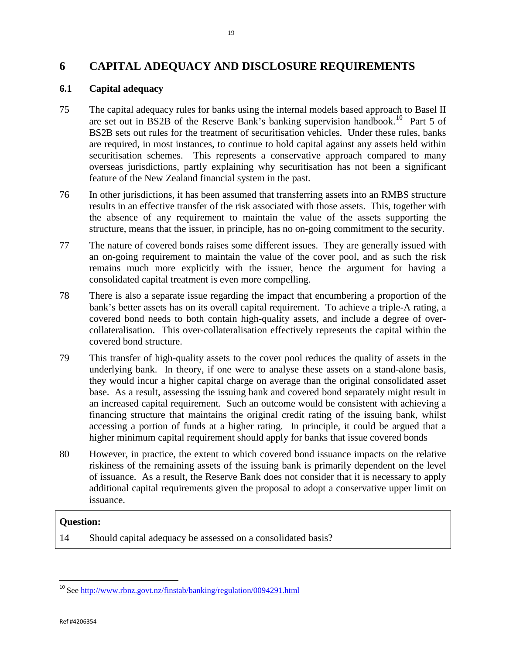# **6 CAPITAL ADEQUACY AND DISCLOSURE REQUIREMENTS**

# **6.1 Capital adequacy**

- 75 The capital adequacy rules for banks using the internal models based approach to Basel II are set out in BS2B of the Reserve Bank's banking supervision handbook. [10](#page-18-0) Part 5 of BS2B sets out rules for the treatment of securitisation vehicles. Under these rules, banks are required, in most instances, to continue to hold capital against any assets held within securitisation schemes. This represents a conservative approach compared to many overseas jurisdictions, partly explaining why securitisation has not been a significant feature of the New Zealand financial system in the past.
- 76 In other jurisdictions, it has been assumed that transferring assets into an RMBS structure results in an effective transfer of the risk associated with those assets. This, together with the absence of any requirement to maintain the value of the assets supporting the structure, means that the issuer, in principle, has no on-going commitment to the security.
- 77 The nature of covered bonds raises some different issues. They are generally issued with an on-going requirement to maintain the value of the cover pool, and as such the risk remains much more explicitly with the issuer, hence the argument for having a consolidated capital treatment is even more compelling.
- 78 There is also a separate issue regarding the impact that encumbering a proportion of the bank's better assets has on its overall capital requirement. To achieve a triple-A rating, a covered bond needs to both contain high-quality assets, and include a degree of overcollateralisation. This over-collateralisation effectively represents the capital within the covered bond structure.
- 79 This transfer of high-quality assets to the cover pool reduces the quality of assets in the underlying bank. In theory, if one were to analyse these assets on a stand-alone basis, they would incur a higher capital charge on average than the original consolidated asset base. As a result, assessing the issuing bank and covered bond separately might result in an increased capital requirement. Such an outcome would be consistent with achieving a financing structure that maintains the original credit rating of the issuing bank, whilst accessing a portion of funds at a higher rating. In principle, it could be argued that a higher minimum capital requirement should apply for banks that issue covered bonds
- 80 However, in practice, the extent to which covered bond issuance impacts on the relative riskiness of the remaining assets of the issuing bank is primarily dependent on the level of issuance. As a result, the Reserve Bank does not consider that it is necessary to apply additional capital requirements given the proposal to adopt a conservative upper limit on issuance.

#### **Question:**

14 Should capital adequacy be assessed on a consolidated basis?

<span id="page-18-0"></span> <sup>10</sup> See<http://www.rbnz.govt.nz/finstab/banking/regulation/0094291.html>